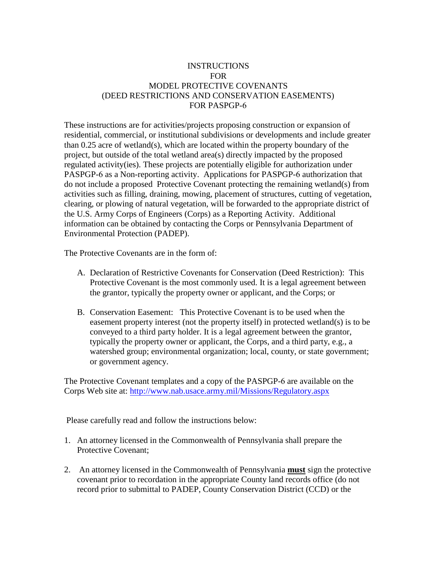# INSTRUCTIONS FOR MODEL PROTECTIVE COVENANTS (DEED RESTRICTIONS AND CONSERVATION EASEMENTS) FOR PASPGP-6

These instructions are for activities/projects proposing construction or expansion of residential, commercial, or institutional subdivisions or developments and include greater than 0.25 acre of wetland(s), which are located within the property boundary of the project, but outside of the total wetland area(s) directly impacted by the proposed regulated activity(ies). These projects are potentially eligible for authorization under PASPGP-6 as a Non-reporting activity. Applications for PASPGP-6 authorization that do not include a proposed Protective Covenant protecting the remaining wetland(s) from activities such as filling, draining, mowing, placement of structures, cutting of vegetation, clearing, or plowing of natural vegetation, will be forwarded to the appropriate district of the U.S. Army Corps of Engineers (Corps) as a Reporting Activity. Additional information can be obtained by contacting the Corps or Pennsylvania Department of Environmental Protection (PADEP).

The Protective Covenants are in the form of:

- A. Declaration of Restrictive Covenants for Conservation (Deed Restriction): This Protective Covenant is the most commonly used. It is a legal agreement between the grantor, typically the property owner or applicant, and the Corps; or
- B. Conservation Easement: This Protective Covenant is to be used when the easement property interest (not the property itself) in protected wetland(s) is to be conveyed to a third party holder. It is a legal agreement between the grantor, typically the property owner or applicant, the Corps, and a third party, e.g., a watershed group; environmental organization; local, county, or state government; or government agency.

The Protective Covenant templates and a copy of the PASPGP-6 are available on the Corps Web site at:<http://www.nab.usace.army.mil/Missions/Regulatory.aspx>

Please carefully read and follow the instructions below:

- 1. An attorney licensed in the Commonwealth of Pennsylvania shall prepare the Protective Covenant;
- 2. An attorney licensed in the Commonwealth of Pennsylvania **must** sign the protective covenant prior to recordation in the appropriate County land records office (do not record prior to submittal to PADEP, County Conservation District (CCD) or the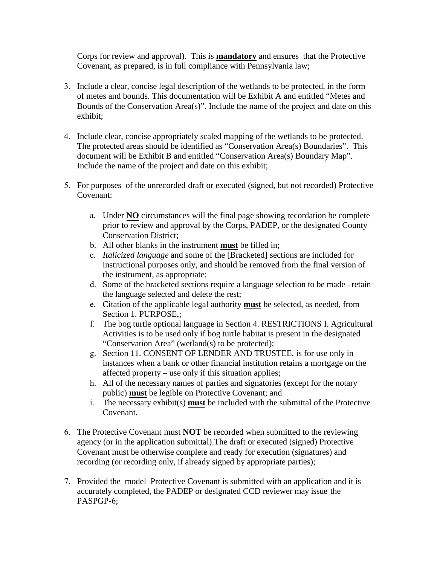Corps for review and approval). This is **mandatory** and ensures that the Protective Covenant, as prepared, is in full compliance with Pennsylvania law;

- 3. Include a clear, concise legal description of the wetlands to be protected, in the form of metes and bounds. This documentation will be Exhibit A and entitled "Metes and Bounds of the Conservation Area(s)". Include the name of the project and date on this exhibit;
- 4. Include clear, concise appropriately scaled mapping of the wetlands to be protected. The protected areas should be identified as "Conservation Area(s) Boundaries". This document will be Exhibit B and entitled "Conservation Area(s) Boundary Map". Include the name of the project and date on this exhibit;
- 5. For purposes of the unrecorded draft or executed (signed, but not recorded) Protective Covenant:
	- a. Under **NO** circumstances will the final page showing recordation be complete prior to review and approval by the Corps, PADEP, or the designated County Conservation District;
	- b. All other blanks in the instrument **must** be filled in;
	- c. *Italicized language* and some of the [Bracketed] sections are included for instructional purposes only, and should be removed from the final version of the instrument, as appropriate;
	- d. Some of the bracketed sections require a language selection to be made –retain the language selected and delete the rest;
	- e. Citation of the applicable legal authority **must** be selected, as needed, from Section 1. PURPOSE,;
	- f. The bog turtle optional language in Section 4. RESTRICTIONS I. Agricultural Activities is to be used only if bog turtle habitat is present in the designated "Conservation Area" (wetland(s) to be protected);
	- g. Section 11. CONSENT OF LENDER AND TRUSTEE, is for use only in instances when a bank or other financial institution retains a mortgage on the affected property – use only if this situation applies;
	- h. All of the necessary names of parties and signatories (except for the notary public) **must** be legible on Protective Covenant; and
	- i. The necessary exhibit(s) **must** be included with the submittal of the Protective Covenant.
- 6. The Protective Covenant must **NOT** be recorded when submitted to the reviewing agency (or in the application submittal).The draft or executed (signed) Protective Covenant must be otherwise complete and ready for execution (signatures) and recording (or recording only, if already signed by appropriate parties);
- 7. Provided the model Protective Covenant is submitted with an application and it is accurately completed, the PADEP or designated CCD reviewer may issue the PASPGP-6;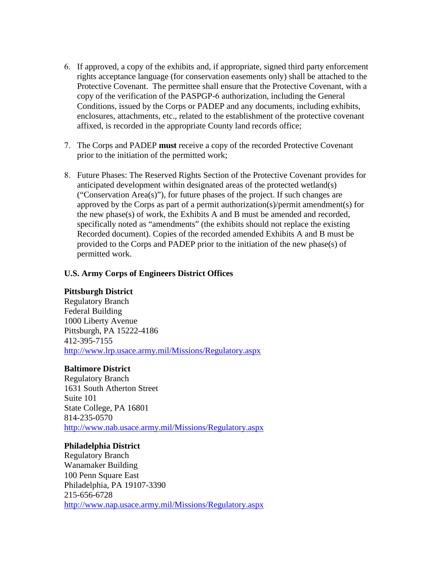- 6. If approved, a copy of the exhibits and, if appropriate, signed third party enforcement rights acceptance language (for conservation easements only) shall be attached to the Protective Covenant. The permittee shall ensure that the Protective Covenant, with a copy of the verification of the PASPGP-6 authorization, including the General Conditions, issued by the Corps or PADEP and any documents, including exhibits, enclosures, attachments, etc., related to the establishment of the protective covenant affixed, is recorded in the appropriate County land records office;
- 7. The Corps and PADEP **must** receive a copy of the recorded Protective Covenant prior to the initiation of the permitted work;
- 8. Future Phases: The Reserved Rights Section of the Protective Covenant provides for anticipated development within designated areas of the protected wetland(s) ("Conservation Area(s)"), for future phases of the project. If such changes are approved by the Corps as part of a permit authorization(s)/permit amendment(s) for the new phase(s) of work, the Exhibits A and B must be amended and recorded, specifically noted as "amendments" (the exhibits should not replace the existing Recorded document). Copies of the recorded amended Exhibits A and B must be provided to the Corps and PADEP prior to the initiation of the new phase(s) of permitted work.

## **U.S. Army Corps of Engineers District Offices**

## **Pittsburgh District**

Regulatory Branch Federal Building 1000 Liberty Avenue Pittsburgh, PA 15222-4186 412-395-7155 <http://www.lrp.usace.army.mil/Missions/Regulatory.aspx>

#### **Baltimore District**

Regulatory Branch 1631 South Atherton Street Suite 101 State College, PA 16801 814-235-0570 <http://www.nab.usace.army.mil/Missions/Regulatory.aspx>

#### **Philadelphia District**

Regulatory Branch Wanamaker Building 100 Penn Square East Philadelphia, PA 19107-3390 215-656-6728 <http://www.nap.usace.army.mil/Missions/Regulatory.aspx>